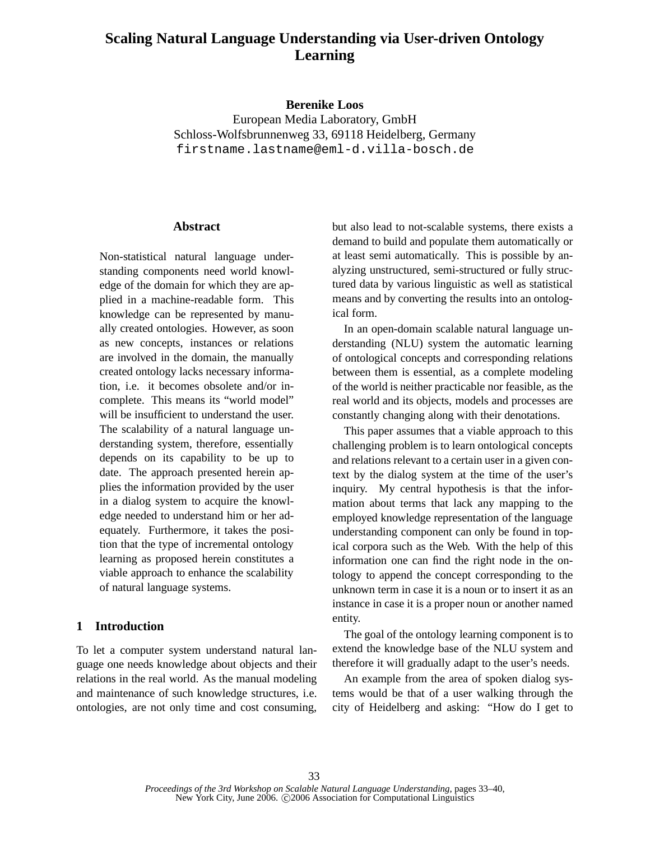# **Scaling Natural Language Understanding via User-driven Ontology Learning**

#### **Berenike Loos**

European Media Laboratory, GmbH Schloss-Wolfsbrunnenweg 33, 69118 Heidelberg, Germany firstname.lastname@eml-d.villa-bosch.de

#### **Abstract**

Non-statistical natural language understanding components need world knowledge of the domain for which they are applied in a machine-readable form. This knowledge can be represented by manually created ontologies. However, as soon as new concepts, instances or relations are involved in the domain, the manually created ontology lacks necessary information, i.e. it becomes obsolete and/or incomplete. This means its "world model" will be insufficient to understand the user. The scalability of a natural language understanding system, therefore, essentially depends on its capability to be up to date. The approach presented herein applies the information provided by the user in a dialog system to acquire the knowledge needed to understand him or her adequately. Furthermore, it takes the position that the type of incremental ontology learning as proposed herein constitutes a viable approach to enhance the scalability of natural language systems.

#### **1 Introduction**

To let a computer system understand natural language one needs knowledge about objects and their relations in the real world. As the manual modeling and maintenance of such knowledge structures, i.e. ontologies, are not only time and cost consuming,

but also lead to not-scalable systems, there exists a demand to build and populate them automatically or at least semi automatically. This is possible by analyzing unstructured, semi-structured or fully structured data by various linguistic as well as statistical means and by converting the results into an ontological form.

In an open-domain scalable natural language understanding (NLU) system the automatic learning of ontological concepts and corresponding relations between them is essential, as a complete modeling of the world is neither practicable nor feasible, as the real world and its objects, models and processes are constantly changing along with their denotations.

This paper assumes that a viable approach to this challenging problem is to learn ontological concepts and relations relevant to a certain user in a given context by the dialog system at the time of the user's inquiry. My central hypothesis is that the information about terms that lack any mapping to the employed knowledge representation of the language understanding component can only be found in topical corpora such as the Web. With the help of this information one can find the right node in the ontology to append the concept corresponding to the unknown term in case it is a noun or to insert it as an instance in case it is a proper noun or another named entity.

The goal of the ontology learning component is to extend the knowledge base of the NLU system and therefore it will gradually adapt to the user's needs.

An example from the area of spoken dialog systems would be that of a user walking through the city of Heidelberg and asking: "How do I get to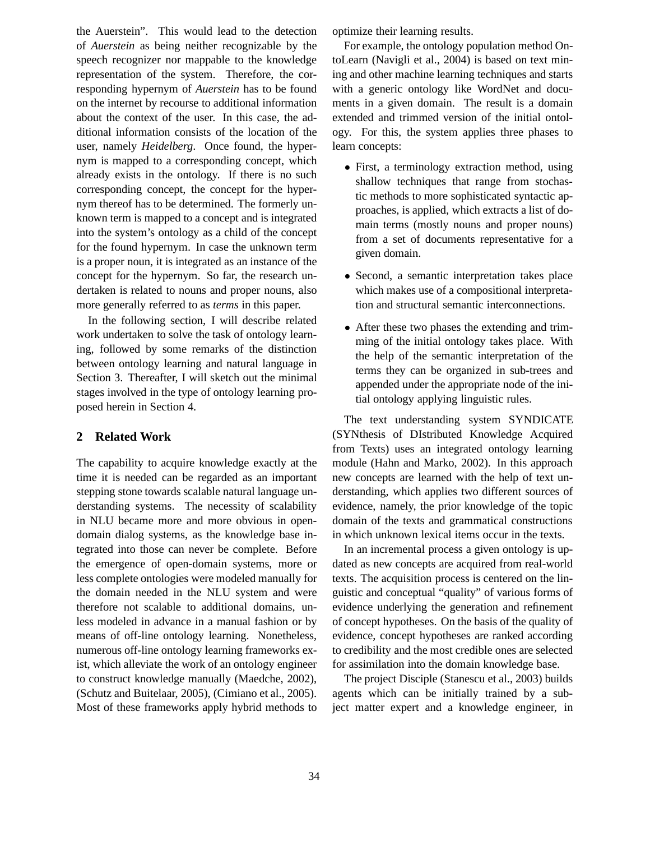the Auerstein". This would lead to the detection of *Auerstein* as being neither recognizable by the speech recognizer nor mappable to the knowledge representation of the system. Therefore, the corresponding hypernym of *Auerstein* has to be found on the internet by recourse to additional information about the context of the user. In this case, the additional information consists of the location of the user, namely *Heidelberg*. Once found, the hypernym is mapped to a corresponding concept, which already exists in the ontology. If there is no such corresponding concept, the concept for the hypernym thereof has to be determined. The formerly unknown term is mapped to a concept and is integrated into the system's ontology as a child of the concept for the found hypernym. In case the unknown term is a proper noun, it is integrated as an instance of the concept for the hypernym. So far, the research undertaken is related to nouns and proper nouns, also more generally referred to as *terms* in this paper.

In the following section, I will describe related work undertaken to solve the task of ontology learning, followed by some remarks of the distinction between ontology learning and natural language in Section 3. Thereafter, I will sketch out the minimal stages involved in the type of ontology learning proposed herein in Section 4.

### **2 Related Work**

The capability to acquire knowledge exactly at the time it is needed can be regarded as an important stepping stone towards scalable natural language understanding systems. The necessity of scalability in NLU became more and more obvious in opendomain dialog systems, as the knowledge base integrated into those can never be complete. Before the emergence of open-domain systems, more or less complete ontologies were modeled manually for the domain needed in the NLU system and were therefore not scalable to additional domains, unless modeled in advance in a manual fashion or by means of off-line ontology learning. Nonetheless, numerous off-line ontology learning frameworks exist, which alleviate the work of an ontology engineer to construct knowledge manually (Maedche, 2002), (Schutz and Buitelaar, 2005), (Cimiano et al., 2005). Most of these frameworks apply hybrid methods to optimize their learning results.

For example, the ontology population method OntoLearn (Navigli et al., 2004) is based on text mining and other machine learning techniques and starts with a generic ontology like WordNet and documents in a given domain. The result is a domain extended and trimmed version of the initial ontology. For this, the system applies three phases to learn concepts:

- First, a terminology extraction method, using shallow techniques that range from stochastic methods to more sophisticated syntactic approaches, is applied, which extracts a list of domain terms (mostly nouns and proper nouns) from a set of documents representative for a given domain.
- Second, a semantic interpretation takes place which makes use of a compositional interpretation and structural semantic interconnections.
- After these two phases the extending and trimming of the initial ontology takes place. With the help of the semantic interpretation of the terms they can be organized in sub-trees and appended under the appropriate node of the initial ontology applying linguistic rules.

The text understanding system SYNDICATE (SYNthesis of DIstributed Knowledge Acquired from Texts) uses an integrated ontology learning module (Hahn and Marko, 2002). In this approach new concepts are learned with the help of text understanding, which applies two different sources of evidence, namely, the prior knowledge of the topic domain of the texts and grammatical constructions in which unknown lexical items occur in the texts.

In an incremental process a given ontology is updated as new concepts are acquired from real-world texts. The acquisition process is centered on the linguistic and conceptual "quality" of various forms of evidence underlying the generation and refinement of concept hypotheses. On the basis of the quality of evidence, concept hypotheses are ranked according to credibility and the most credible ones are selected for assimilation into the domain knowledge base.

The project Disciple (Stanescu et al., 2003) builds agents which can be initially trained by a subject matter expert and a knowledge engineer, in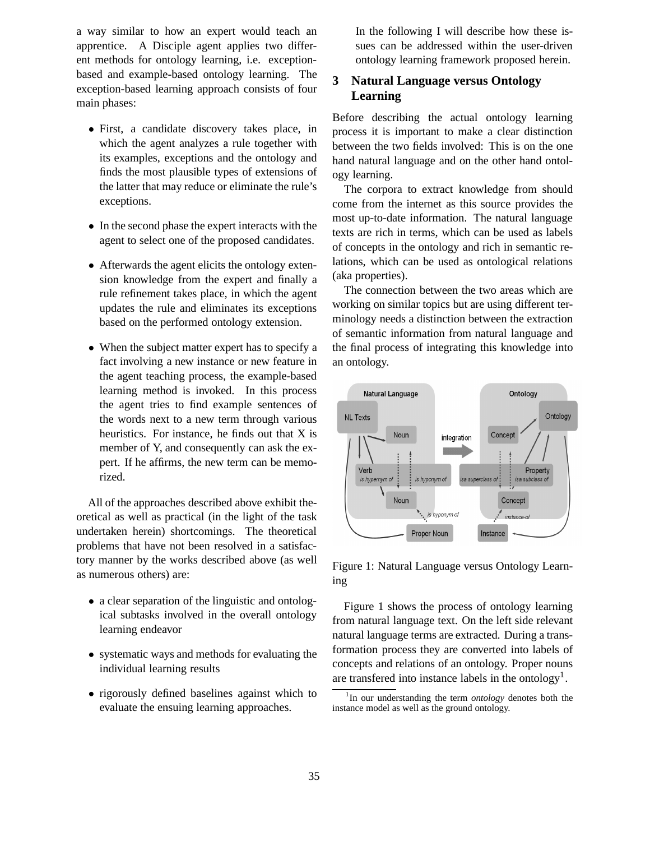a way similar to how an expert would teach an apprentice. A Disciple agent applies two different methods for ontology learning, i.e. exceptionbased and example-based ontology learning. The exception-based learning approach consists of four main phases:

- First, a candidate discovery takes place, in which the agent analyzes a rule together with its examples, exceptions and the ontology and finds the most plausible types of extensions of the latter that may reduce or eliminate the rule's exceptions.
- In the second phase the expert interacts with the agent to select one of the proposed candidates.
- Afterwards the agent elicits the ontology extension knowledge from the expert and finally a rule refinement takes place, in which the agent updates the rule and eliminates its exceptions based on the performed ontology extension.
- When the subject matter expert has to specify a fact involving a new instance or new feature in the agent teaching process, the example-based learning method is invoked. In this process the agent tries to find example sentences of the words next to a new term through various heuristics. For instance, he finds out that X is member of Y, and consequently can ask the expert. If he affirms, the new term can be memorized.

All of the approaches described above exhibit theoretical as well as practical (in the light of the task undertaken herein) shortcomings. The theoretical problems that have not been resolved in a satisfactory manner by the works described above (as well as numerous others) are:

- a clear separation of the linguistic and ontological subtasks involved in the overall ontology learning endeavor
- systematic ways and methods for evaluating the individual learning results
- rigorously defined baselines against which to evaluate the ensuing learning approaches.

In the following I will describe how these issues can be addressed within the user-driven ontology learning framework proposed herein.

### **3 Natural Language versus Ontology Learning**

Before describing the actual ontology learning process it is important to make a clear distinction between the two fields involved: This is on the one hand natural language and on the other hand ontology learning.

The corpora to extract knowledge from should come from the internet as this source provides the most up-to-date information. The natural language texts are rich in terms, which can be used as labels of concepts in the ontology and rich in semantic relations, which can be used as ontological relations (aka properties).

The connection between the two areas which are working on similar topics but are using different terminology needs a distinction between the extraction of semantic information from natural language and the final process of integrating this knowledge into an ontology.



Figure 1: Natural Language versus Ontology Learning

Figure 1 shows the process of ontology learning from natural language text. On the left side relevant natural language terms are extracted. During a transformation process they are converted into labels of concepts and relations of an ontology. Proper nouns are transfered into instance labels in the ontology<sup>1</sup>.

<sup>&</sup>lt;sup>1</sup>In our understanding the term *ontology* denotes both the instance model as well as the ground ontology.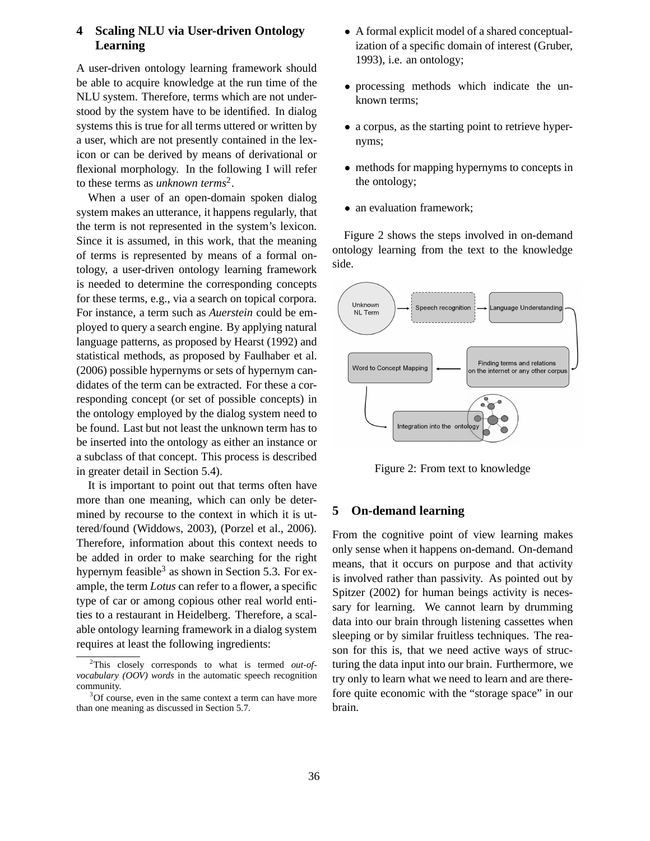## **4 Scaling NLU via User-driven Ontology Learning**

A user-driven ontology learning framework should be able to acquire knowledge at the run time of the NLU system. Therefore, terms which are not understood by the system have to be identified. In dialog systems this is true for all terms uttered or written by a user, which are not presently contained in the lexicon or can be derived by means of derivational or flexional morphology. In the following I will refer to these terms as *unknown terms*<sup>2</sup> .

When a user of an open-domain spoken dialog system makes an utterance, it happens regularly, that the term is not represented in the system's lexicon. Since it is assumed, in this work, that the meaning of terms is represented by means of a formal ontology, a user-driven ontology learning framework is needed to determine the corresponding concepts for these terms, e.g., via a search on topical corpora. For instance, a term such as *Auerstein* could be employed to query a search engine. By applying natural language patterns, as proposed by Hearst (1992) and statistical methods, as proposed by Faulhaber et al. (2006) possible hypernyms or sets of hypernym candidates of the term can be extracted. For these a corresponding concept (or set of possible concepts) in the ontology employed by the dialog system need to be found. Last but not least the unknown term has to be inserted into the ontology as either an instance or a subclass of that concept. This process is described in greater detail in Section 5.4).

It is important to point out that terms often have more than one meaning, which can only be determined by recourse to the context in which it is uttered/found (Widdows, 2003), (Porzel et al., 2006). Therefore, information about this context needs to be added in order to make searching for the right hypernym feasible<sup>3</sup> as shown in Section 5.3. For example, the term *Lotus* can refer to a flower, a specific type of car or among copious other real world entities to a restaurant in Heidelberg. Therefore, a scalable ontology learning framework in a dialog system requires at least the following ingredients:

- A formal explicit model of a shared conceptualization of a specific domain of interest (Gruber, 1993), i.e. an ontology;
- processing methods which indicate the unknown terms;
- a corpus, as the starting point to retrieve hypernyms;
- methods for mapping hypernyms to concepts in the ontology;
- an evaluation framework;

Figure 2 shows the steps involved in on-demand ontology learning from the text to the knowledge side.



Figure 2: From text to knowledge

#### **5 On-demand learning**

From the cognitive point of view learning makes only sense when it happens on-demand. On-demand means, that it occurs on purpose and that activity is involved rather than passivity. As pointed out by Spitzer (2002) for human beings activity is necessary for learning. We cannot learn by drumming data into our brain through listening cassettes when sleeping or by similar fruitless techniques. The reason for this is, that we need active ways of structuring the data input into our brain. Furthermore, we try only to learn what we need to learn and are therefore quite economic with the "storage space" in our brain.

<sup>2</sup>This closely corresponds to what is termed *out-ofvocabulary (OOV) words* in the automatic speech recognition community.

<sup>&</sup>lt;sup>3</sup>Of course, even in the same context a term can have more than one meaning as discussed in Section 5.7.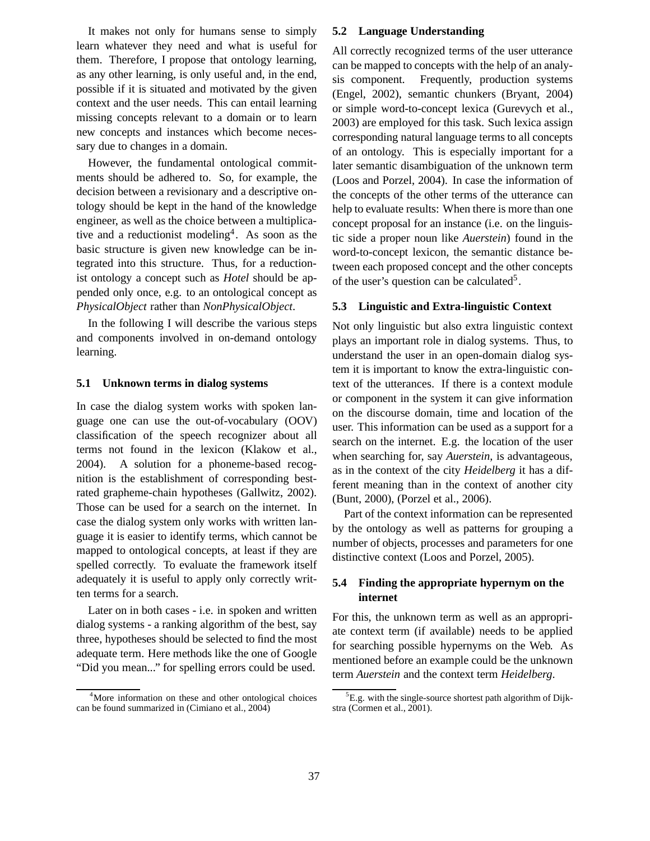It makes not only for humans sense to simply learn whatever they need and what is useful for them. Therefore, I propose that ontology learning, as any other learning, is only useful and, in the end, possible if it is situated and motivated by the given context and the user needs. This can entail learning missing concepts relevant to a domain or to learn new concepts and instances which become necessary due to changes in a domain.

However, the fundamental ontological commitments should be adhered to. So, for example, the decision between a revisionary and a descriptive ontology should be kept in the hand of the knowledge engineer, as well as the choice between a multiplicative and a reductionist modeling<sup>4</sup> . As soon as the basic structure is given new knowledge can be integrated into this structure. Thus, for a reductionist ontology a concept such as *Hotel* should be appended only once, e.g. to an ontological concept as *PhysicalObject* rather than *NonPhysicalObject*.

In the following I will describe the various steps and components involved in on-demand ontology learning.

#### **5.1 Unknown terms in dialog systems**

In case the dialog system works with spoken language one can use the out-of-vocabulary (OOV) classification of the speech recognizer about all terms not found in the lexicon (Klakow et al., 2004). A solution for a phoneme-based recognition is the establishment of corresponding bestrated grapheme-chain hypotheses (Gallwitz, 2002). Those can be used for a search on the internet. In case the dialog system only works with written language it is easier to identify terms, which cannot be mapped to ontological concepts, at least if they are spelled correctly. To evaluate the framework itself adequately it is useful to apply only correctly written terms for a search.

Later on in both cases - i.e. in spoken and written dialog systems - a ranking algorithm of the best, say three, hypotheses should be selected to find the most adequate term. Here methods like the one of Google "Did you mean..." for spelling errors could be used.

#### **5.2 Language Understanding**

All correctly recognized terms of the user utterance can be mapped to concepts with the help of an analysis component. Frequently, production systems (Engel, 2002), semantic chunkers (Bryant, 2004) or simple word-to-concept lexica (Gurevych et al., 2003) are employed for this task. Such lexica assign corresponding natural language terms to all concepts of an ontology. This is especially important for a later semantic disambiguation of the unknown term (Loos and Porzel, 2004). In case the information of the concepts of the other terms of the utterance can help to evaluate results: When there is more than one concept proposal for an instance (i.e. on the linguistic side a proper noun like *Auerstein*) found in the word-to-concept lexicon, the semantic distance between each proposed concept and the other concepts of the user's question can be calculated<sup>5</sup>.

#### **5.3 Linguistic and Extra-linguistic Context**

Not only linguistic but also extra linguistic context plays an important role in dialog systems. Thus, to understand the user in an open-domain dialog system it is important to know the extra-linguistic context of the utterances. If there is a context module or component in the system it can give information on the discourse domain, time and location of the user. This information can be used as a support for a search on the internet. E.g. the location of the user when searching for, say *Auerstein*, is advantageous, as in the context of the city *Heidelberg* it has a different meaning than in the context of another city (Bunt, 2000), (Porzel et al., 2006).

Part of the context information can be represented by the ontology as well as patterns for grouping a number of objects, processes and parameters for one distinctive context (Loos and Porzel, 2005).

### **5.4 Finding the appropriate hypernym on the internet**

For this, the unknown term as well as an appropriate context term (if available) needs to be applied for searching possible hypernyms on the Web. As mentioned before an example could be the unknown term *Auerstein* and the context term *Heidelberg*.

<sup>&</sup>lt;sup>4</sup>More information on these and other ontological choices can be found summarized in (Cimiano et al., 2004)

 ${}^{5}E.g.$  with the single-source shortest path algorithm of Dijkstra (Cormen et al., 2001).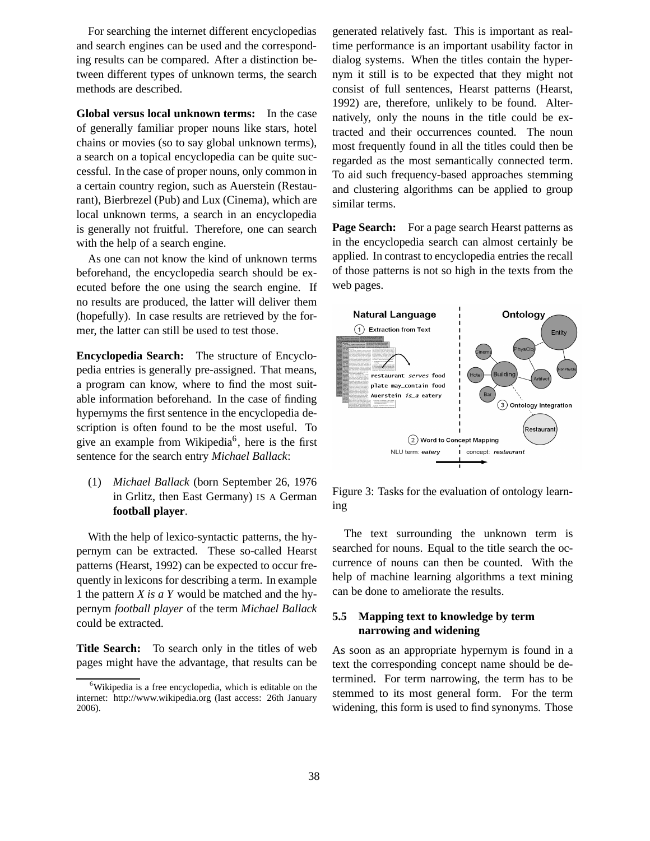For searching the internet different encyclopedias and search engines can be used and the corresponding results can be compared. After a distinction between different types of unknown terms, the search methods are described.

**Global versus local unknown terms:** In the case of generally familiar proper nouns like stars, hotel chains or movies (so to say global unknown terms), a search on a topical encyclopedia can be quite successful. In the case of proper nouns, only common in a certain country region, such as Auerstein (Restaurant), Bierbrezel (Pub) and Lux (Cinema), which are local unknown terms, a search in an encyclopedia is generally not fruitful. Therefore, one can search with the help of a search engine.

As one can not know the kind of unknown terms beforehand, the encyclopedia search should be executed before the one using the search engine. If no results are produced, the latter will deliver them (hopefully). In case results are retrieved by the former, the latter can still be used to test those.

**Encyclopedia Search:** The structure of Encyclopedia entries is generally pre-assigned. That means, a program can know, where to find the most suitable information beforehand. In the case of finding hypernyms the first sentence in the encyclopedia description is often found to be the most useful. To give an example from Wikipedia<sup>6</sup>, here is the first sentence for the search entry *Michael Ballack*:

(1) *Michael Ballack* (born September 26, 1976 in Grlitz, then East Germany) IS A German **football player**.

With the help of lexico-syntactic patterns, the hypernym can be extracted. These so-called Hearst patterns (Hearst, 1992) can be expected to occur frequently in lexicons for describing a term. In example 1 the pattern *X is a Y* would be matched and the hypernym *football player* of the term *Michael Ballack* could be extracted.

**Title Search:** To search only in the titles of web pages might have the advantage, that results can be generated relatively fast. This is important as realtime performance is an important usability factor in dialog systems. When the titles contain the hypernym it still is to be expected that they might not consist of full sentences, Hearst patterns (Hearst, 1992) are, therefore, unlikely to be found. Alternatively, only the nouns in the title could be extracted and their occurrences counted. The noun most frequently found in all the titles could then be regarded as the most semantically connected term. To aid such frequency-based approaches stemming and clustering algorithms can be applied to group similar terms.

**Page Search:** For a page search Hearst patterns as in the encyclopedia search can almost certainly be applied. In contrast to encyclopedia entries the recall of those patterns is not so high in the texts from the web pages.



Figure 3: Tasks for the evaluation of ontology learning

The text surrounding the unknown term is searched for nouns. Equal to the title search the occurrence of nouns can then be counted. With the help of machine learning algorithms a text mining can be done to ameliorate the results.

### **5.5 Mapping text to knowledge by term narrowing and widening**

As soon as an appropriate hypernym is found in a text the corresponding concept name should be determined. For term narrowing, the term has to be stemmed to its most general form. For the term widening, this form is used to find synonyms. Those

<sup>&</sup>lt;sup>6</sup>Wikipedia is a free encyclopedia, which is editable on the internet: http://www.wikipedia.org (last access: 26th January 2006).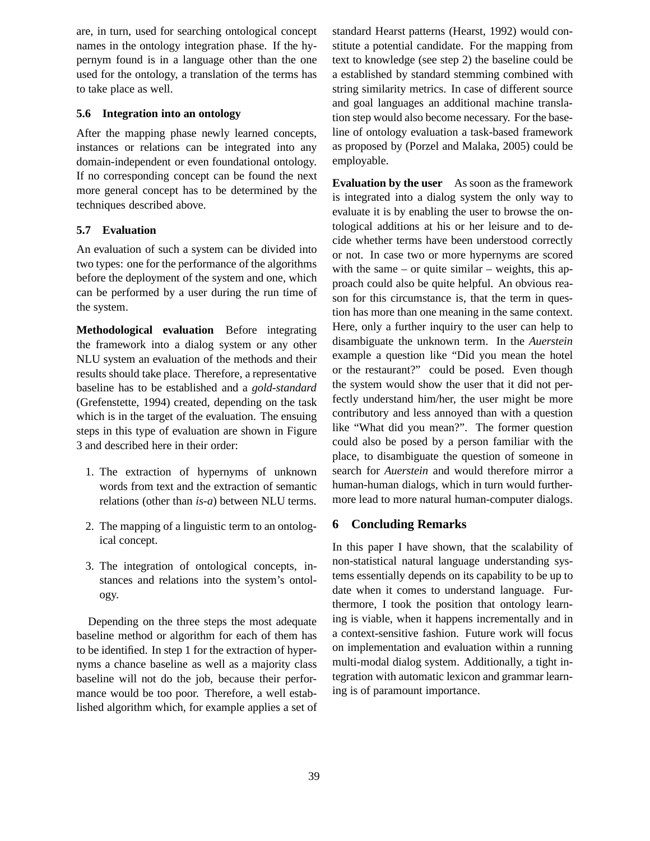are, in turn, used for searching ontological concept names in the ontology integration phase. If the hypernym found is in a language other than the one used for the ontology, a translation of the terms has to take place as well.

### **5.6 Integration into an ontology**

After the mapping phase newly learned concepts, instances or relations can be integrated into any domain-independent or even foundational ontology. If no corresponding concept can be found the next more general concept has to be determined by the techniques described above.

## **5.7 Evaluation**

An evaluation of such a system can be divided into two types: one for the performance of the algorithms before the deployment of the system and one, which can be performed by a user during the run time of the system.

**Methodological evaluation** Before integrating the framework into a dialog system or any other NLU system an evaluation of the methods and their results should take place. Therefore, a representative baseline has to be established and a *gold-standard* (Grefenstette, 1994) created, depending on the task which is in the target of the evaluation. The ensuing steps in this type of evaluation are shown in Figure 3 and described here in their order:

- 1. The extraction of hypernyms of unknown words from text and the extraction of semantic relations (other than *is-a*) between NLU terms.
- 2. The mapping of a linguistic term to an ontological concept.
- 3. The integration of ontological concepts, instances and relations into the system's ontology.

Depending on the three steps the most adequate baseline method or algorithm for each of them has to be identified. In step 1 for the extraction of hypernyms a chance baseline as well as a majority class baseline will not do the job, because their performance would be too poor. Therefore, a well established algorithm which, for example applies a set of standard Hearst patterns (Hearst, 1992) would constitute a potential candidate. For the mapping from text to knowledge (see step 2) the baseline could be a established by standard stemming combined with string similarity metrics. In case of different source and goal languages an additional machine translation step would also become necessary. For the baseline of ontology evaluation a task-based framework as proposed by (Porzel and Malaka, 2005) could be employable.

**Evaluation by the user** As soon as the framework is integrated into a dialog system the only way to evaluate it is by enabling the user to browse the ontological additions at his or her leisure and to decide whether terms have been understood correctly or not. In case two or more hypernyms are scored with the same – or quite similar – weights, this approach could also be quite helpful. An obvious reason for this circumstance is, that the term in question has more than one meaning in the same context. Here, only a further inquiry to the user can help to disambiguate the unknown term. In the *Auerstein* example a question like "Did you mean the hotel or the restaurant?" could be posed. Even though the system would show the user that it did not perfectly understand him/her, the user might be more contributory and less annoyed than with a question like "What did you mean?". The former question could also be posed by a person familiar with the place, to disambiguate the question of someone in search for *Auerstein* and would therefore mirror a human-human dialogs, which in turn would furthermore lead to more natural human-computer dialogs.

## **6 Concluding Remarks**

In this paper I have shown, that the scalability of non-statistical natural language understanding systems essentially depends on its capability to be up to date when it comes to understand language. Furthermore, I took the position that ontology learning is viable, when it happens incrementally and in a context-sensitive fashion. Future work will focus on implementation and evaluation within a running multi-modal dialog system. Additionally, a tight integration with automatic lexicon and grammar learning is of paramount importance.